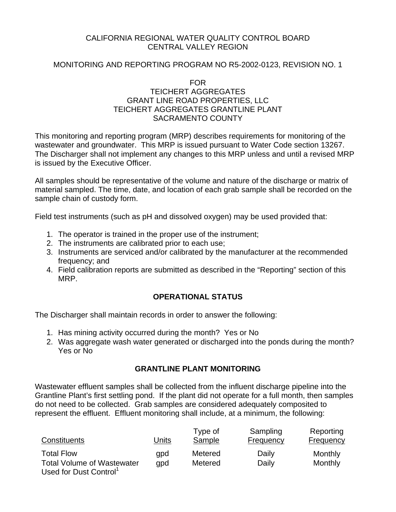## CALIFORNIA REGIONAL WATER QUALITY CONTROL BOARD CENTRAL VALLEY REGION

# MONITORING AND REPORTING PROGRAM NO R5-2002-0123, REVISION NO. 1

### FOR TEICHERT AGGREGATES GRANT LINE ROAD PROPERTIES, LLC TEICHERT AGGREGATES GRANTLINE PLANT SACRAMENTO COUNTY

This monitoring and reporting program (MRP) describes requirements for monitoring of the wastewater and groundwater. This MRP is issued pursuant to Water Code section 13267. The Discharger shall not implement any changes to this MRP unless and until a revised MRP is issued by the Executive Officer.

All samples should be representative of the volume and nature of the discharge or matrix of material sampled. The time, date, and location of each grab sample shall be recorded on the sample chain of custody form.

Field test instruments (such as pH and dissolved oxygen) may be used provided that:

- 1. The operator is trained in the proper use of the instrument;
- 2. The instruments are calibrated prior to each use;
- 3. Instruments are serviced and/or calibrated by the manufacturer at the recommended frequency; and
- 4. Field calibration reports are submitted as described in the "Reporting" section of this MRP.

# **OPERATIONAL STATUS**

The Discharger shall maintain records in order to answer the following:

- 1. Has mining activity occurred during the month? Yes or No
- 2. Was aggregate wash water generated or discharged into the ponds during the month? Yes or No

# **GRANTLINE PLANT MONITORING**

Wastewater effluent samples shall be collected from the influent discharge pipeline into the Grantline Plant's first settling pond. If the plant did not operate for a full month, then samples do not need to be collected. Grab samples are considered adequately composited to represent the effluent. Effluent monitoring shall include, at a minimum, the following:

| Constituents                        | Units | Type of<br>Sample | Sampling<br>Frequency | Reporting<br>Frequency |
|-------------------------------------|-------|-------------------|-----------------------|------------------------|
| <b>Total Flow</b>                   | qpd   | Metered           | Daily                 | Monthly                |
| <b>Total Volume of Wastewater</b>   | qpd   | Metered           | Daily                 | Monthly                |
| Llood for Duct Control <sup>1</sup> |       |                   |                       |                        |

Used for Dust Control1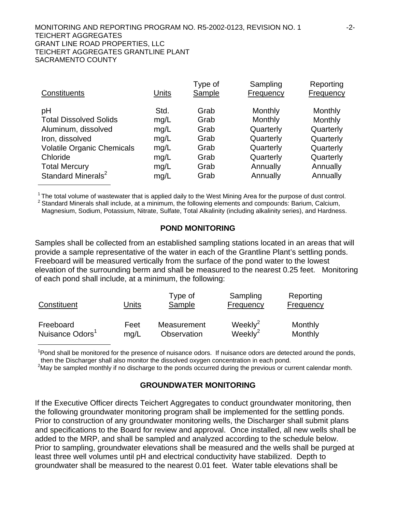#### MONITORING AND REPORTING PROGRAM NO. R5-2002-0123, REVISION NO. 1 -2-TEICHERT AGGREGATES GRANT LINE ROAD PROPERTIES, LLC TEICHERT AGGREGATES GRANTLINE PLANT SACRAMENTO COUNTY

| Constituents                      | Units | Type of<br>Sample | Sampling<br>Frequency | Reporting<br><b>Frequency</b> |
|-----------------------------------|-------|-------------------|-----------------------|-------------------------------|
| pH                                | Std.  | Grab              | Monthly               | Monthly                       |
| <b>Total Dissolved Solids</b>     | mg/L  | Grab              | Monthly               | Monthly                       |
| Aluminum, dissolved               | mg/L  | Grab              | Quarterly             | Quarterly                     |
| Iron, dissolved                   | mg/L  | Grab              | Quarterly             | Quarterly                     |
| <b>Volatile Organic Chemicals</b> | mg/L  | Grab              | Quarterly             | Quarterly                     |
| Chloride                          | mg/L  | Grab              | Quarterly             | Quarterly                     |
| <b>Total Mercury</b>              | mg/L  | Grab              | Annually              | Annually                      |
| Standard Minerals <sup>2</sup>    | mg/L  | Grab              | Annually              | Annually                      |

 $1$  The total volume of wastewater that is applied daily to the West Mining Area for the purpose of dust control.  $2$  Standard Minerals shall include, at a minimum, the following elements and compounds: Barium, Calcium, Magnesium, Sodium, Potassium, Nitrate, Sulfate, Total Alkalinity (including alkalinity series), and Hardness.

#### **POND MONITORING**

Samples shall be collected from an established sampling stations located in an areas that will provide a sample representative of the water in each of the Grantline Plant's settling ponds. Freeboard will be measured vertically from the surface of the pond water to the lowest elevation of the surrounding berm and shall be measured to the nearest 0.25 feet. Monitoring of each pond shall include, at a minimum, the following:

| Constituent                 | Units | Type of<br>Sample | Sampling<br>Frequency | Reporting<br>Frequency |
|-----------------------------|-------|-------------------|-----------------------|------------------------|
| Freeboard                   | Feet  | Measurement       | Weekly $2$            | Monthly                |
| Nuisance Odors <sup>1</sup> | mq/L  | Observation       | Weekly $2$            | Monthly                |

<sup>1</sup>Pond shall be monitored for the presence of nuisance odors. If nuisance odors are detected around the ponds, then the Discharger shall also monitor the dissolved oxygen concentration in each pond.

<sup>2</sup>May be sampled monthly if no discharge to the ponds occurred during the previous or current calendar month.

### **GROUNDWATER MONITORING**

If the Executive Officer directs Teichert Aggregates to conduct groundwater monitoring, then the following groundwater monitoring program shall be implemented for the settling ponds. Prior to construction of any groundwater monitoring wells, the Discharger shall submit plans and specifications to the Board for review and approval. Once installed, all new wells shall be added to the MRP, and shall be sampled and analyzed according to the schedule below. Prior to sampling, groundwater elevations shall be measured and the wells shall be purged at least three well volumes until pH and electrical conductivity have stabilized. Depth to groundwater shall be measured to the nearest 0.01 feet. Water table elevations shall be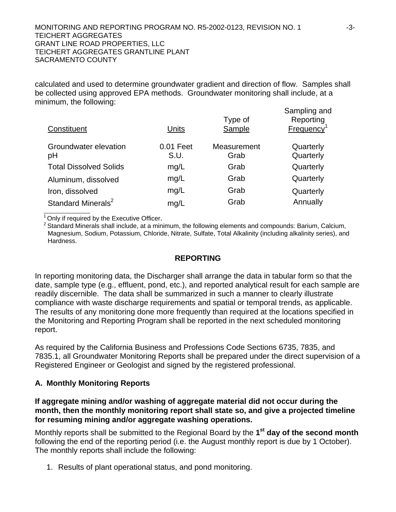#### MONITORING AND REPORTING PROGRAM NO. R5-2002-0123, REVISION NO. 1 -3-3-TEICHERT AGGREGATES GRANT LINE ROAD PROPERTIES, LLC TEICHERT AGGREGATES GRANTLINE PLANT SACRAMENTO COUNTY

calculated and used to determine groundwater gradient and direction of flow. Samples shall be collected using approved EPA methods. Groundwater monitoring shall include, at a minimum, the following:

| Constituent                    | Units             | Type of<br>Sample   | Sampling and<br>Reporting<br>Frequency <sup>1</sup> |
|--------------------------------|-------------------|---------------------|-----------------------------------------------------|
| Groundwater elevation<br>pH    | 0.01 Feet<br>S.U. | Measurement<br>Grab | Quarterly<br>Quarterly                              |
| <b>Total Dissolved Solids</b>  | mg/L              | Grab                | Quarterly                                           |
| Aluminum, dissolved            | mg/L              | Grab                | Quarterly                                           |
| Iron, dissolved                | mg/L              | Grab                | Quarterly                                           |
| Standard Minerals <sup>2</sup> | mg/L              | Grab                | Annually                                            |

 $\overline{a}$ 

<sup>1</sup> Only if required by the Executive Officer.<br><sup>2</sup> Standard Minerals shall include, at a minimum, the following elements and compounds: Barium, Calcium, Magnesium, Sodium, Potassium, Chloride, Nitrate, Sulfate, Total Alkalinity (including alkalinity series), and Hardness.

# **REPORTING**

In reporting monitoring data, the Discharger shall arrange the data in tabular form so that the date, sample type (e.g., effluent, pond, etc.), and reported analytical result for each sample are readily discernible. The data shall be summarized in such a manner to clearly illustrate compliance with waste discharge requirements and spatial or temporal trends, as applicable. The results of any monitoring done more frequently than required at the locations specified in the Monitoring and Reporting Program shall be reported in the next scheduled monitoring report.

As required by the California Business and Professions Code Sections 6735, 7835, and 7835.1, all Groundwater Monitoring Reports shall be prepared under the direct supervision of a Registered Engineer or Geologist and signed by the registered professional.

# **A. Monthly Monitoring Reports**

**If aggregate mining and/or washing of aggregate material did not occur during the month, then the monthly monitoring report shall state so, and give a projected timeline for resuming mining and/or aggregate washing operations.** 

Monthly reports shall be submitted to the Regional Board by the **1st day of the second month** following the end of the reporting period (i.e. the August monthly report is due by 1 October). The monthly reports shall include the following:

1. Results of plant operational status, and pond monitoring.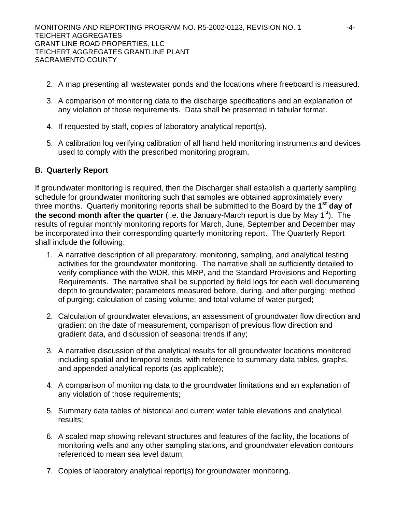- 2. A map presenting all wastewater ponds and the locations where freeboard is measured.
- 3. A comparison of monitoring data to the discharge specifications and an explanation of any violation of those requirements. Data shall be presented in tabular format.
- 4. If requested by staff, copies of laboratory analytical report(s).
- 5. A calibration log verifying calibration of all hand held monitoring instruments and devices used to comply with the prescribed monitoring program.

# **B. Quarterly Report**

If groundwater monitoring is required, then the Discharger shall establish a quarterly sampling schedule for groundwater monitoring such that samples are obtained approximately every three months. Quarterly monitoring reports shall be submitted to the Board by the **1st day of the second month after the quarter** (i.e. the January-March report is due by May 1st). The results of regular monthly monitoring reports for March, June, September and December may be incorporated into their corresponding quarterly monitoring report. The Quarterly Report shall include the following:

- 1. A narrative description of all preparatory, monitoring, sampling, and analytical testing activities for the groundwater monitoring. The narrative shall be sufficiently detailed to verify compliance with the WDR, this MRP, and the Standard Provisions and Reporting Requirements. The narrative shall be supported by field logs for each well documenting depth to groundwater; parameters measured before, during, and after purging; method of purging; calculation of casing volume; and total volume of water purged;
- 2. Calculation of groundwater elevations, an assessment of groundwater flow direction and gradient on the date of measurement, comparison of previous flow direction and gradient data, and discussion of seasonal trends if any;
- 3. A narrative discussion of the analytical results for all groundwater locations monitored including spatial and temporal tends, with reference to summary data tables, graphs, and appended analytical reports (as applicable);
- 4. A comparison of monitoring data to the groundwater limitations and an explanation of any violation of those requirements;
- 5. Summary data tables of historical and current water table elevations and analytical results;
- 6. A scaled map showing relevant structures and features of the facility, the locations of monitoring wells and any other sampling stations, and groundwater elevation contours referenced to mean sea level datum;
- 7. Copies of laboratory analytical report(s) for groundwater monitoring.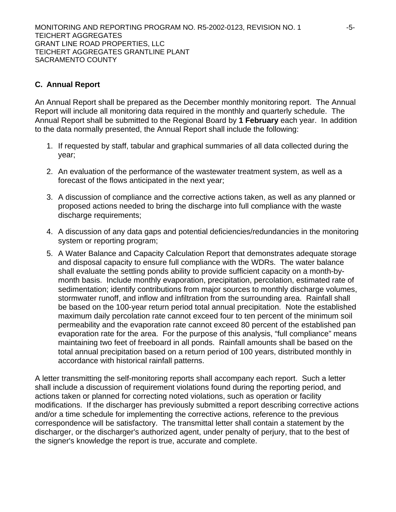# **C. Annual Report**

An Annual Report shall be prepared as the December monthly monitoring report. The Annual Report will include all monitoring data required in the monthly and quarterly schedule. The Annual Report shall be submitted to the Regional Board by **1 February** each year. In addition to the data normally presented, the Annual Report shall include the following:

- 1. If requested by staff, tabular and graphical summaries of all data collected during the year;
- 2. An evaluation of the performance of the wastewater treatment system, as well as a forecast of the flows anticipated in the next year;
- 3. A discussion of compliance and the corrective actions taken, as well as any planned or proposed actions needed to bring the discharge into full compliance with the waste discharge requirements;
- 4. A discussion of any data gaps and potential deficiencies/redundancies in the monitoring system or reporting program;
- 5. A Water Balance and Capacity Calculation Report that demonstrates adequate storage and disposal capacity to ensure full compliance with the WDRs. The water balance shall evaluate the settling ponds ability to provide sufficient capacity on a month-bymonth basis. Include monthly evaporation, precipitation, percolation, estimated rate of sedimentation; identify contributions from major sources to monthly discharge volumes, stormwater runoff, and inflow and infiltration from the surrounding area. Rainfall shall be based on the 100-year return period total annual precipitation. Note the established maximum daily percolation rate cannot exceed four to ten percent of the minimum soil permeability and the evaporation rate cannot exceed 80 percent of the established pan evaporation rate for the area. For the purpose of this analysis, "full compliance" means maintaining two feet of freeboard in all ponds. Rainfall amounts shall be based on the total annual precipitation based on a return period of 100 years, distributed monthly in accordance with historical rainfall patterns.

A letter transmitting the self-monitoring reports shall accompany each report. Such a letter shall include a discussion of requirement violations found during the reporting period, and actions taken or planned for correcting noted violations, such as operation or facility modifications. If the discharger has previously submitted a report describing corrective actions and/or a time schedule for implementing the corrective actions, reference to the previous correspondence will be satisfactory. The transmittal letter shall contain a statement by the discharger, or the discharger's authorized agent, under penalty of perjury, that to the best of the signer's knowledge the report is true, accurate and complete.